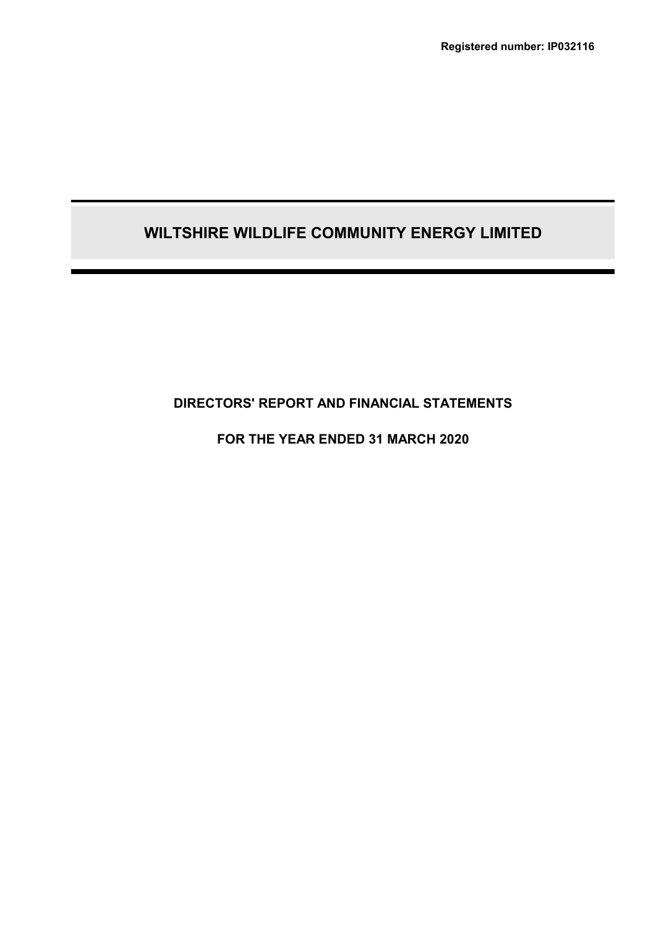# **DIRECTORS' REPORT AND FINANCIAL STATEMENTS**

# **FOR THE YEAR ENDED 31 MARCH 2020**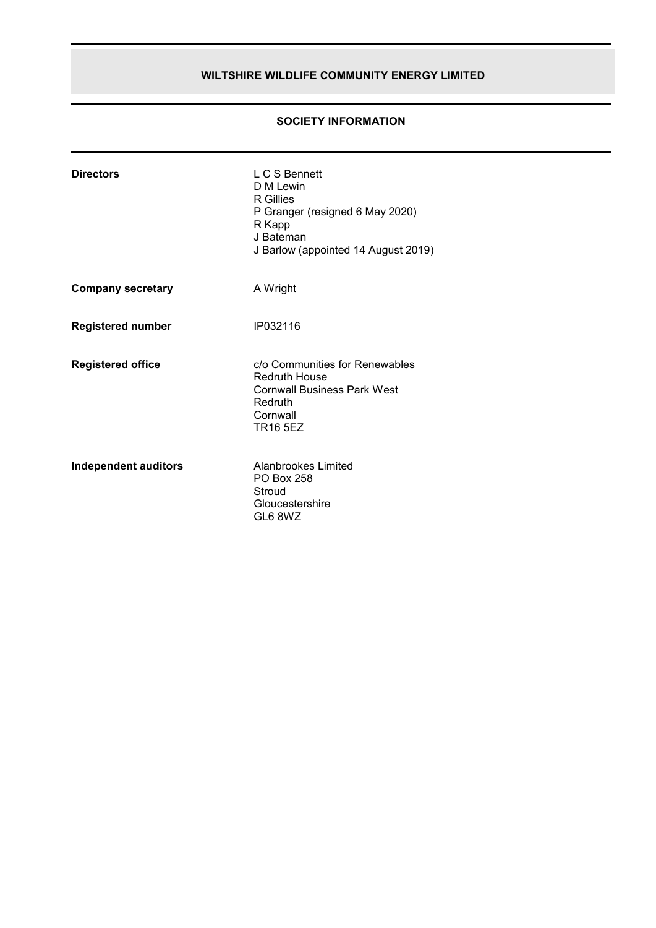| <b>Directors</b>            | L C S Bennett<br>D M Lewin<br><b>R</b> Gillies<br>P Granger (resigned 6 May 2020)<br>R Kapp<br>J Bateman<br>J Barlow (appointed 14 August 2019) |
|-----------------------------|-------------------------------------------------------------------------------------------------------------------------------------------------|
| <b>Company secretary</b>    | A Wright                                                                                                                                        |
| <b>Registered number</b>    | IP032116                                                                                                                                        |
| <b>Registered office</b>    | c/o Communities for Renewables<br><b>Redruth House</b><br><b>Cornwall Business Park West</b><br>Redruth<br>Cornwall<br><b>TR16 5EZ</b>          |
| <b>Independent auditors</b> | Alanbrookes Limited<br><b>PO Box 258</b><br><b>Stroud</b><br>Gloucestershire<br>GL6 8WZ                                                         |

### **SOCIETY INFORMATION**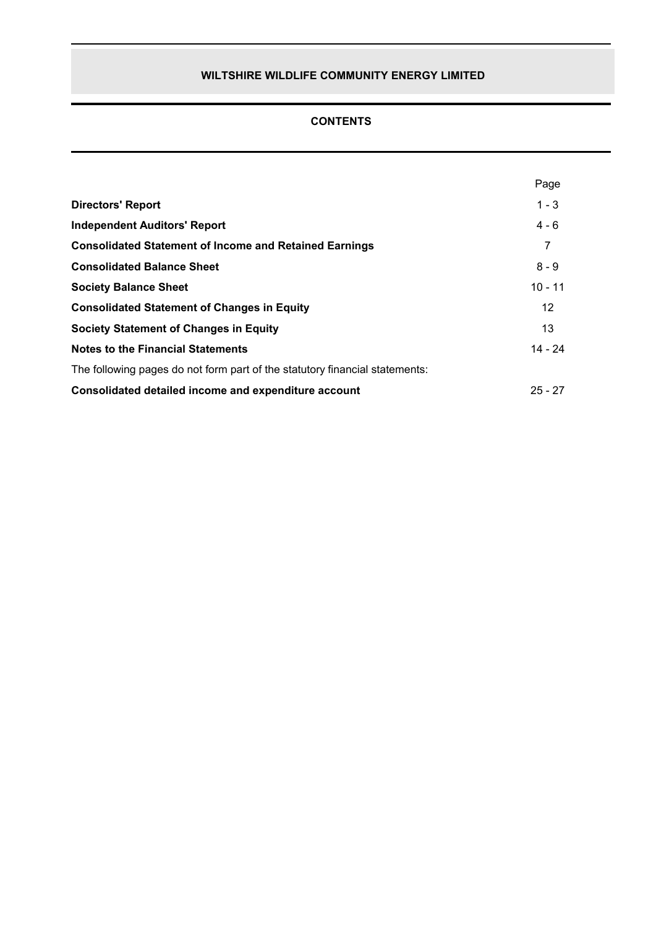# **CONTENTS**

|                                                                             | Page      |
|-----------------------------------------------------------------------------|-----------|
| <b>Directors' Report</b>                                                    | $1 - 3$   |
| <b>Independent Auditors' Report</b>                                         | $4 - 6$   |
| <b>Consolidated Statement of Income and Retained Earnings</b>               | 7         |
| <b>Consolidated Balance Sheet</b>                                           | $8 - 9$   |
| <b>Society Balance Sheet</b>                                                | $10 - 11$ |
| <b>Consolidated Statement of Changes in Equity</b>                          | 12        |
| <b>Society Statement of Changes in Equity</b>                               | 13        |
| <b>Notes to the Financial Statements</b>                                    | $14 - 24$ |
| The following pages do not form part of the statutory financial statements: |           |
| Consolidated detailed income and expenditure account                        | $25 - 27$ |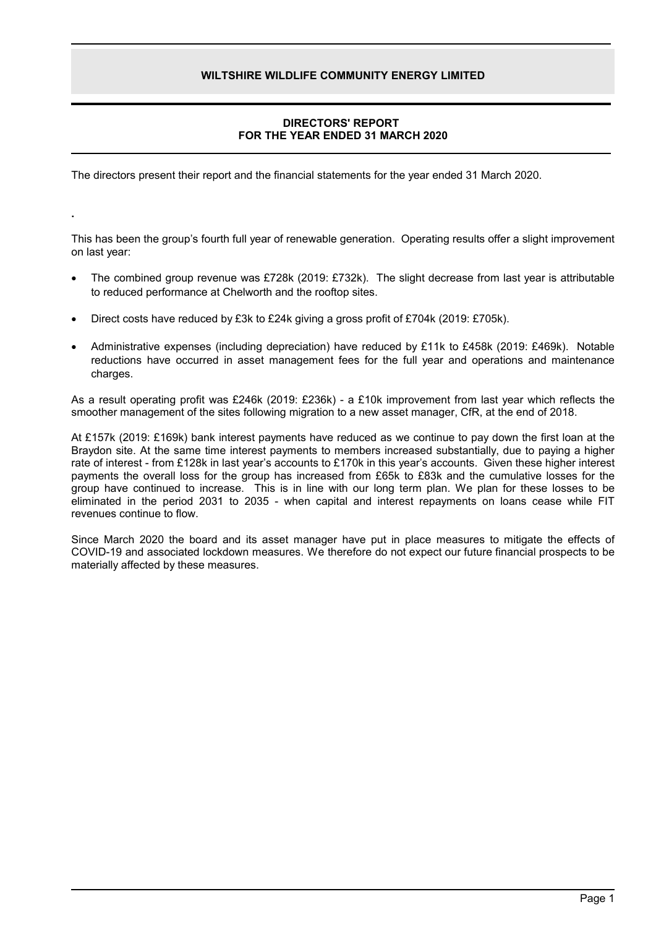### **DIRECTORS' REPORT FOR THE YEAR ENDED 31 MARCH 2020**

The directors present their report and the financial statements for the year ended 31 March 2020.

This has been the group's fourth full year of renewable generation. Operating results offer a slight improvement on last year:

- The combined group revenue was £728k (2019: £732k). The slight decrease from last year is attributable to reduced performance at Chelworth and the rooftop sites.
- Direct costs have reduced by £3k to £24k giving a gross profit of £704k (2019: £705k).

**.**

 Administrative expenses (including depreciation) have reduced by £11k to £458k (2019: £469k). Notable reductions have occurred in asset management fees for the full year and operations and maintenance charges.

As a result operating profit was £246k (2019: £236k) - a £10k improvement from last year which reflects the smoother management of the sites following migration to a new asset manager, CfR, at the end of 2018.

At £157k (2019: £169k) bank interest payments have reduced as we continue to pay down the first loan at the Braydon site. At the same time interest payments to members increased substantially, due to paying a higher rate of interest - from £128k in last year's accounts to £170k in this year's accounts. Given these higher interest payments the overall loss for the group has increased from £65k to £83k and the cumulative losses for the group have continued to increase. This is in line with our long term plan. We plan for these losses to be eliminated in the period 2031 to 2035 - when capital and interest repayments on loans cease while FIT revenues continue to flow.

Since March 2020 the board and its asset manager have put in place measures to mitigate the effects of COVID-19 and associated lockdown measures. We therefore do not expect our future financial prospects to be materially affected by these measures.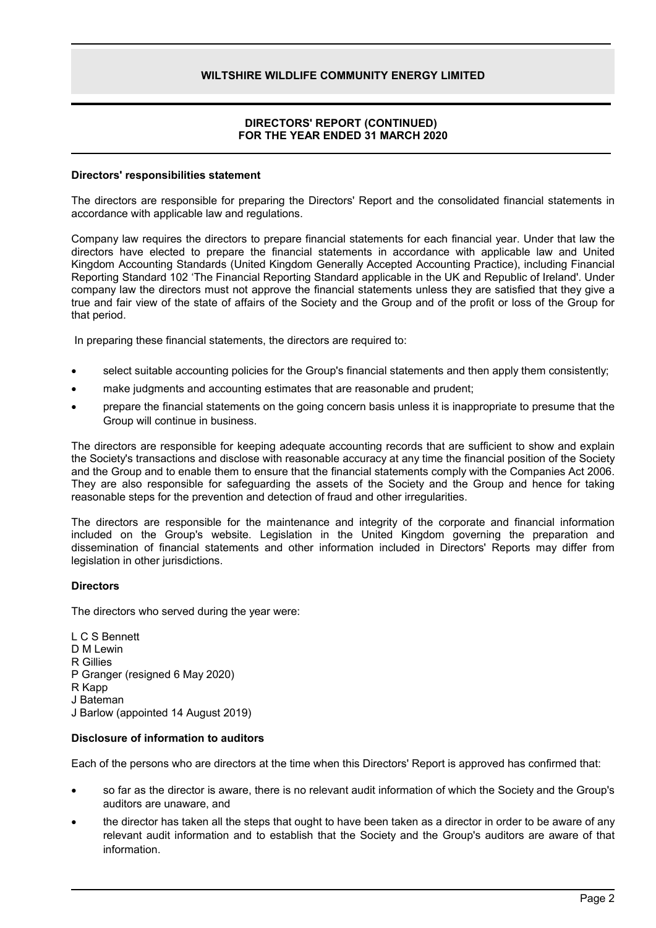### **DIRECTORS' REPORT (CONTINUED) FOR THE YEAR ENDED 31 MARCH 2020**

#### **Directors' responsibilities statement**

The directors are responsible for preparing the Directors' Report and the consolidated financial statements in accordance with applicable law and regulations.

Company law requires the directors to prepare financial statements for each financial year. Under that law the directors have elected to prepare the financial statements in accordance with applicable law and United Kingdom Accounting Standards (United Kingdom Generally Accepted Accounting Practice), including Financial Reporting Standard 102 'The Financial Reporting Standard applicable in the UK and Republic of Ireland'. Under company law the directors must not approve the financial statements unless they are satisfied that they give a true and fair view of the state of affairs of the Society and the Group and of the profit or loss of the Group for that period.

In preparing these financial statements, the directors are required to:

- select suitable accounting policies for the Group's financial statements and then apply them consistently;
- make judgments and accounting estimates that are reasonable and prudent;
- prepare the financial statements on the going concern basis unless it is inappropriate to presume that the Group will continue in business.

The directors are responsible for keeping adequate accounting records that are sufficient to show and explain the Society's transactions and disclose with reasonable accuracy at any time the financial position of the Society and the Group and to enable them to ensure that the financial statements comply with the Companies Act 2006. They are also responsible for safeguarding the assets of the Society and the Group and hence for taking reasonable steps for the prevention and detection of fraud and other irregularities.

The directors are responsible for the maintenance and integrity of the corporate and financial information included on the Group's website. Legislation in the United Kingdom governing the preparation and dissemination of financial statements and other information included in Directors' Reports may differ from legislation in other jurisdictions.

#### **Directors**

The directors who served during the year were:

L C S Bennett D M Lewin R Gillies P Granger (resigned 6 May 2020) R Kapp J Bateman J Barlow (appointed 14 August 2019)

#### **Disclosure of information to auditors**

Each of the persons who are directors at the time when this Directors' Report is approved has confirmed that:

- so far as the director is aware, there is no relevant audit information of which the Society and the Group's auditors are unaware, and
- the director has taken all the steps that ought to have been taken as a director in order to be aware of any relevant audit information and to establish that the Society and the Group's auditors are aware of that information.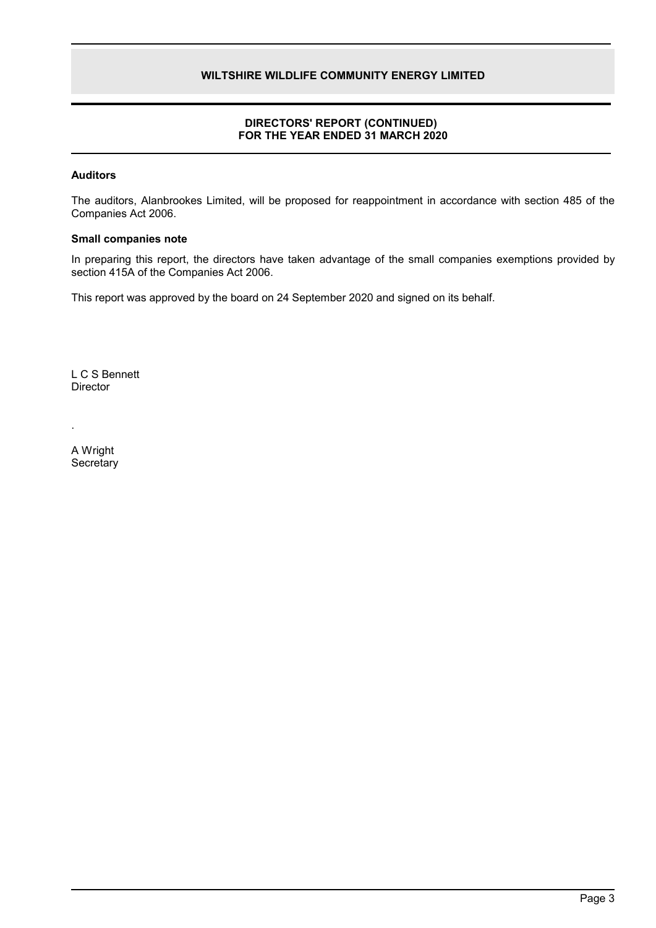### **DIRECTORS' REPORT (CONTINUED) FOR THE YEAR ENDED 31 MARCH 2020**

### **Auditors**

The auditors, Alanbrookes Limited, will be proposed for reappointment in accordance with section 485 of the Companies Act 2006.

### **Small companies note**

In preparing this report, the directors have taken advantage of the small companies exemptions provided by section 415A of the Companies Act 2006.

This report was approved by the board on 24 September 2020 and signed on its behalf.

L C S Bennett **Director** 

A Wright **Secretary** 

.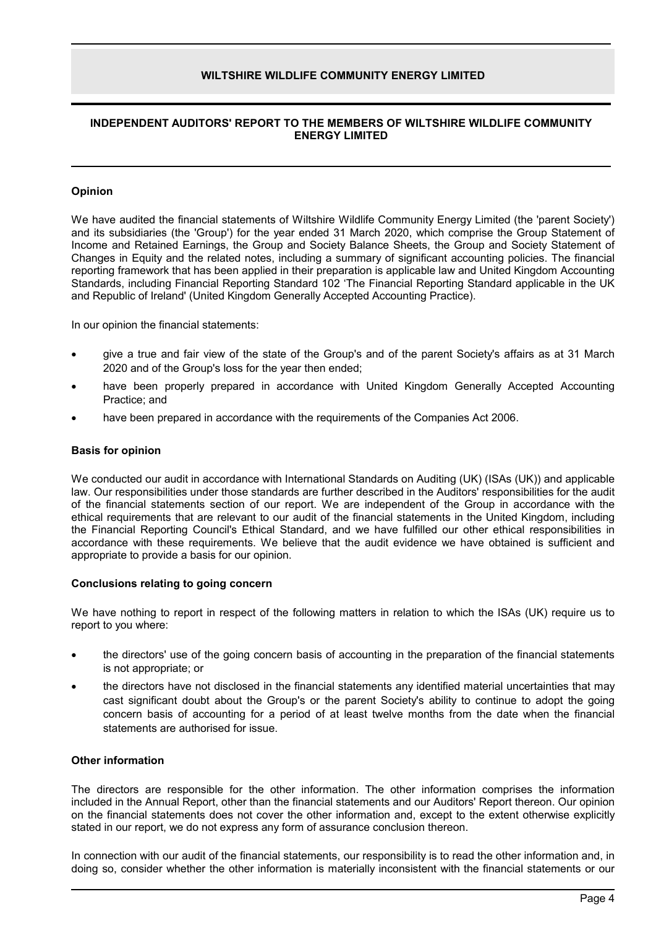#### **INDEPENDENT AUDITORS' REPORT TO THE MEMBERS OF WILTSHIRE WILDLIFE COMMUNITY ENERGY LIMITED**

### **Opinion**

We have audited the financial statements of Wiltshire Wildlife Community Energy Limited (the 'parent Society') and its subsidiaries (the 'Group') for the year ended 31 March 2020, which comprise the Group Statement of Income and Retained Earnings, the Group and Society Balance Sheets, the Group and Society Statement of Changes in Equity and the related notes, including a summary of significant accounting policies. The financial reporting framework that has been applied in their preparation is applicable law and United Kingdom Accounting Standards, including Financial Reporting Standard 102 'The Financial Reporting Standard applicable in the UK and Republic of Ireland' (United Kingdom Generally Accepted Accounting Practice).

In our opinion the financial statements:

- give a true and fair view of the state of the Group's and of the parent Society's affairs as at 31 March 2020 and of the Group's loss for the year then ended;
- have been properly prepared in accordance with United Kingdom Generally Accepted Accounting Practice; and
- have been prepared in accordance with the requirements of the Companies Act 2006.

#### **Basis for opinion**

We conducted our audit in accordance with International Standards on Auditing (UK) (ISAs (UK)) and applicable law. Our responsibilities under those standards are further described in the Auditors' responsibilities for the audit of the financial statements section of our report. We are independent of the Group in accordance with the ethical requirements that are relevant to our audit of the financial statements in the United Kingdom, including the Financial Reporting Council's Ethical Standard, and we have fulfilled our other ethical responsibilities in accordance with these requirements. We believe that the audit evidence we have obtained is sufficient and appropriate to provide a basis for our opinion.

#### **Conclusions relating to going concern**

We have nothing to report in respect of the following matters in relation to which the ISAs (UK) require us to report to you where:

- the directors' use of the going concern basis of accounting in the preparation of the financial statements is not appropriate; or
- the directors have not disclosed in the financial statements any identified material uncertainties that may cast significant doubt about the Group's or the parent Society's ability to continue to adopt the going concern basis of accounting for a period of at least twelve months from the date when the financial statements are authorised for issue.

#### **Other information**

The directors are responsible for the other information. The other information comprises the information included in the Annual Report, other than the financial statements and our Auditors' Report thereon. Our opinion on the financial statements does not cover the other information and, except to the extent otherwise explicitly stated in our report, we do not express any form of assurance conclusion thereon.

In connection with our audit of the financial statements, our responsibility is to read the other information and, in doing so, consider whether the other information is materially inconsistent with the financial statements or our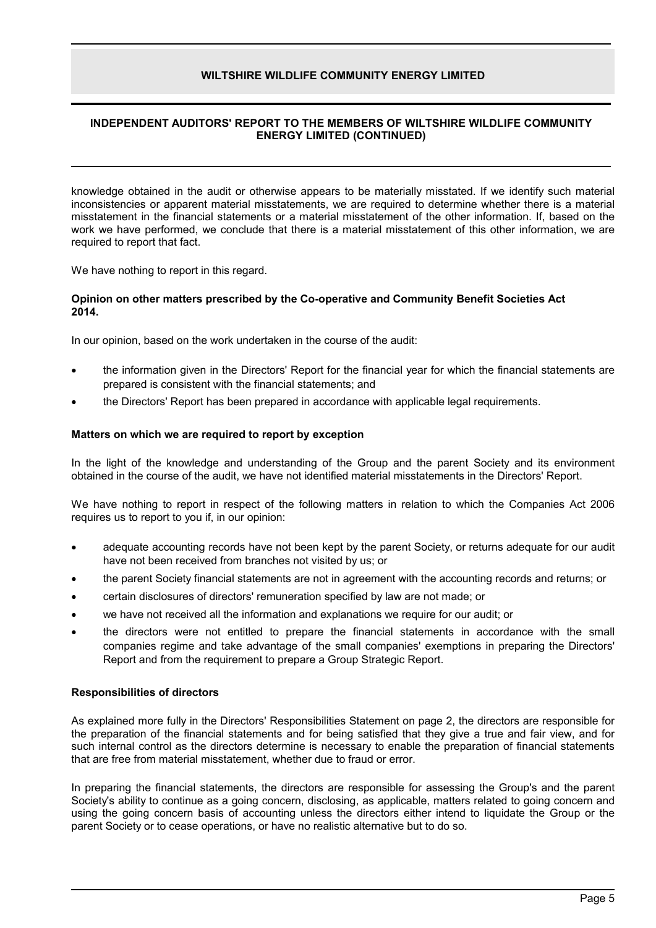### **INDEPENDENT AUDITORS' REPORT TO THE MEMBERS OF WILTSHIRE WILDLIFE COMMUNITY ENERGY LIMITED (CONTINUED)**

knowledge obtained in the audit or otherwise appears to be materially misstated. If we identify such material inconsistencies or apparent material misstatements, we are required to determine whether there is a material misstatement in the financial statements or a material misstatement of the other information. If, based on the work we have performed, we conclude that there is a material misstatement of this other information, we are required to report that fact.

We have nothing to report in this regard.

#### **Opinion on other matters prescribed by the Co-operative and Community Benefit Societies Act 2014.**

In our opinion, based on the work undertaken in the course of the audit:

- the information given in the Directors' Report for the financial year for which the financial statements are prepared is consistent with the financial statements; and
- the Directors' Report has been prepared in accordance with applicable legal requirements.

#### **Matters on which we are required to report by exception**

In the light of the knowledge and understanding of the Group and the parent Society and its environment obtained in the course of the audit, we have not identified material misstatements in the Directors' Report.

We have nothing to report in respect of the following matters in relation to which the Companies Act 2006 requires us to report to you if, in our opinion:

- adequate accounting records have not been kept by the parent Society, or returns adequate for our audit have not been received from branches not visited by us; or
- the parent Society financial statements are not in agreement with the accounting records and returns; or
- certain disclosures of directors' remuneration specified by law are not made; or
- we have not received all the information and explanations we require for our audit; or
- the directors were not entitled to prepare the financial statements in accordance with the small companies regime and take advantage of the small companies' exemptions in preparing the Directors' Report and from the requirement to prepare a Group Strategic Report.

#### **Responsibilities of directors**

As explained more fully in the Directors' Responsibilities Statement on page 2, the directors are responsible for the preparation of the financial statements and for being satisfied that they give a true and fair view, and for such internal control as the directors determine is necessary to enable the preparation of financial statements that are free from material misstatement, whether due to fraud or error.

In preparing the financial statements, the directors are responsible for assessing the Group's and the parent Society's ability to continue as a going concern, disclosing, as applicable, matters related to going concern and using the going concern basis of accounting unless the directors either intend to liquidate the Group or the parent Society or to cease operations, or have no realistic alternative but to do so.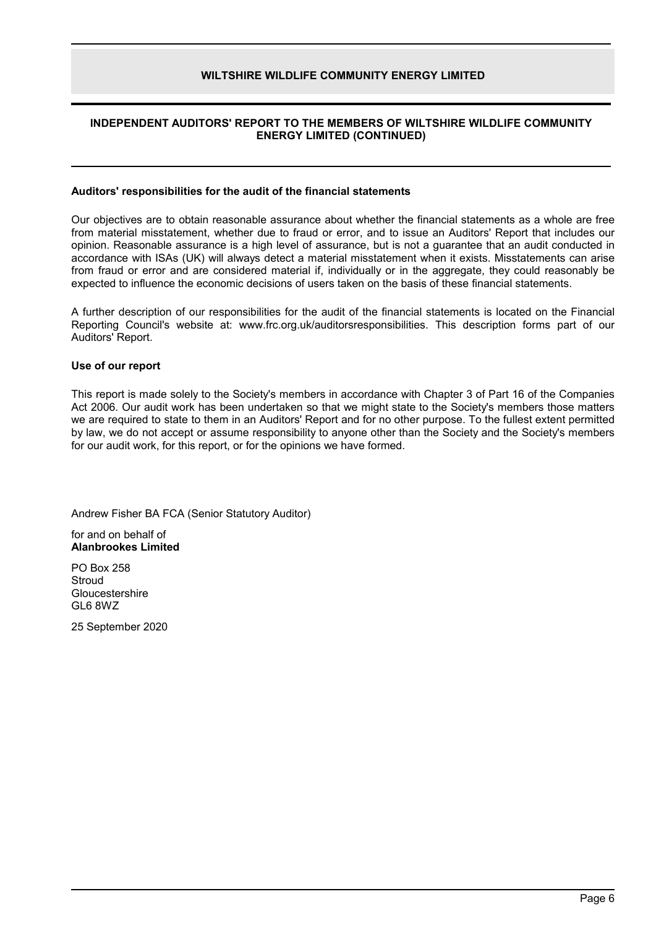#### **INDEPENDENT AUDITORS' REPORT TO THE MEMBERS OF WILTSHIRE WILDLIFE COMMUNITY ENERGY LIMITED (CONTINUED)**

#### **Auditors' responsibilities for the audit of the financial statements**

Our objectives are to obtain reasonable assurance about whether the financial statements as a whole are free from material misstatement, whether due to fraud or error, and to issue an Auditors' Report that includes our opinion. Reasonable assurance is a high level of assurance, but is not a guarantee that an audit conducted in accordance with ISAs (UK) will always detect a material misstatement when it exists. Misstatements can arise from fraud or error and are considered material if, individually or in the aggregate, they could reasonably be expected to influence the economic decisions of users taken on the basis of these financial statements.

A further description of our responsibilities for the audit of the financial statements is located on the Financial Reporting Council's website at: www.frc.org.uk/auditorsresponsibilities. This description forms part of our Auditors' Report.

#### **Use of our report**

This report is made solely to the Society's members in accordance with Chapter 3 of Part 16 of the Companies Act 2006. Our audit work has been undertaken so that we might state to the Society's members those matters we are required to state to them in an Auditors' Report and for no other purpose. To the fullest extent permitted by law, we do not accept or assume responsibility to anyone other than the Society and the Society's members for our audit work, for this report, or for the opinions we have formed.

Andrew Fisher BA FCA (Senior Statutory Auditor)

for and on behalf of **Alanbrookes Limited**

PO Box 258 **Stroud Gloucestershire** GL6 8WZ

25 September 2020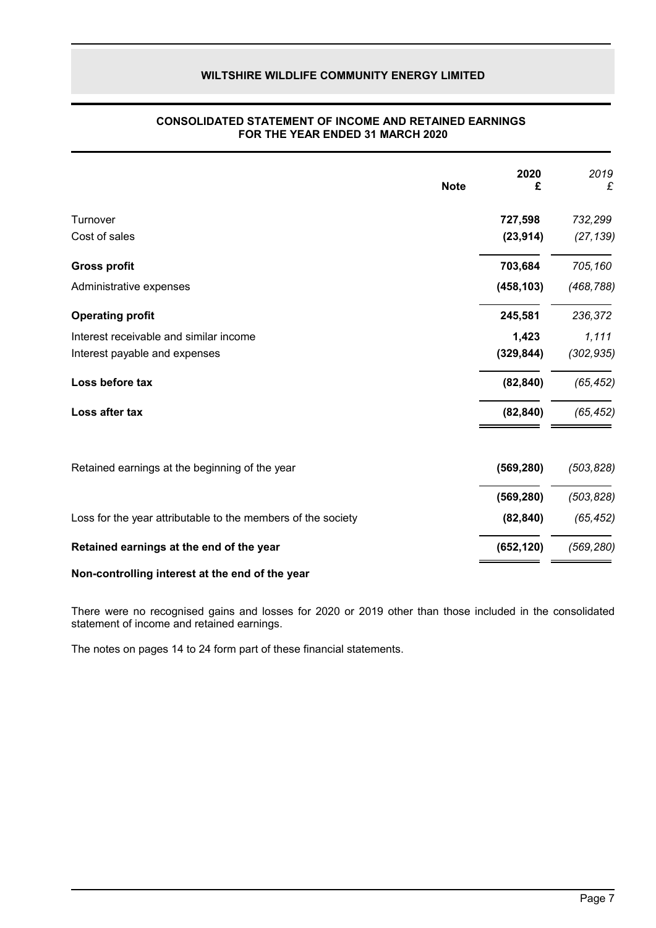|                                                              | <b>Note</b> | 2020<br>£  | 2019<br>£  |
|--------------------------------------------------------------|-------------|------------|------------|
| Turnover                                                     |             | 727,598    | 732,299    |
| Cost of sales                                                |             | (23, 914)  | (27, 139)  |
| <b>Gross profit</b>                                          |             | 703,684    | 705,160    |
| Administrative expenses                                      |             | (458, 103) | (468, 788) |
| <b>Operating profit</b>                                      |             | 245,581    | 236,372    |
| Interest receivable and similar income                       |             | 1,423      | 1,111      |
| Interest payable and expenses                                |             | (329, 844) | (302, 935) |
| Loss before tax                                              |             | (82, 840)  | (65, 452)  |
| Loss after tax                                               |             | (82, 840)  | (65, 452)  |
| Retained earnings at the beginning of the year               |             | (569, 280) | (503, 828) |
|                                                              |             | (569, 280) | (503, 828) |
| Loss for the year attributable to the members of the society |             | (82, 840)  | (65, 452)  |
| Retained earnings at the end of the year                     |             | (652, 120) | (569, 280) |
| Non-controlling interest at the end of the year              |             |            |            |

#### **CONSOLIDATED STATEMENT OF INCOME AND RETAINED EARNINGS FOR THE YEAR ENDED 31 MARCH 2020**

There were no recognised gains and losses for 2020 or 2019 other than those included in the consolidated statement of income and retained earnings.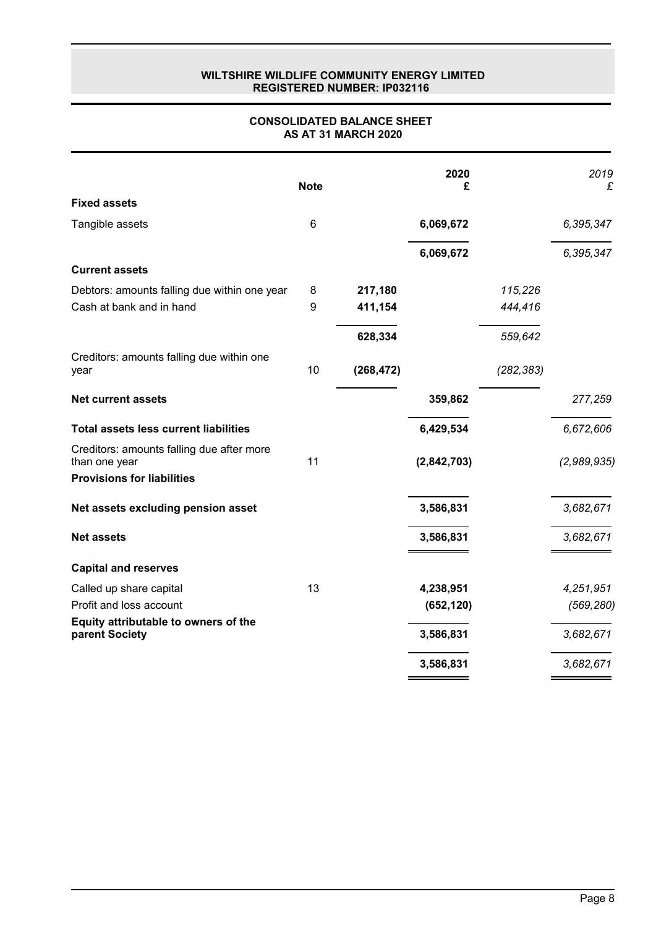|                                                            | <b>Note</b> |            | 2020<br>£   |            | 2019<br>£   |
|------------------------------------------------------------|-------------|------------|-------------|------------|-------------|
| <b>Fixed assets</b>                                        |             |            |             |            |             |
| Tangible assets                                            | 6           |            | 6,069,672   |            | 6,395,347   |
|                                                            |             |            | 6,069,672   |            | 6,395,347   |
| <b>Current assets</b>                                      |             |            |             |            |             |
| Debtors: amounts falling due within one year               | 8           | 217,180    |             | 115,226    |             |
| Cash at bank and in hand                                   | 9           | 411,154    |             | 444,416    |             |
|                                                            |             | 628,334    |             | 559,642    |             |
| Creditors: amounts falling due within one<br>year          | 10          | (268, 472) |             | (282, 383) |             |
| <b>Net current assets</b>                                  |             |            | 359,862     |            | 277,259     |
| <b>Total assets less current liabilities</b>               |             |            | 6,429,534   |            | 6,672,606   |
| Creditors: amounts falling due after more<br>than one year | 11          |            | (2,842,703) |            | (2,989,935) |
| <b>Provisions for liabilities</b>                          |             |            |             |            |             |
| Net assets excluding pension asset                         |             |            | 3,586,831   |            | 3,682,671   |
| <b>Net assets</b>                                          |             |            | 3,586,831   |            | 3,682,671   |
| <b>Capital and reserves</b>                                |             |            |             |            |             |
| Called up share capital                                    | 13          |            | 4,238,951   |            | 4,251,951   |
| Profit and loss account                                    |             |            | (652, 120)  |            | (569, 280)  |
| Equity attributable to owners of the                       |             |            |             |            |             |
| parent Society                                             |             |            | 3,586,831   |            | 3,682,671   |
|                                                            |             |            | 3,586,831   |            | 3,682,671   |

### **CONSOLIDATED BALANCE SHEET AS AT 31 MARCH 2020**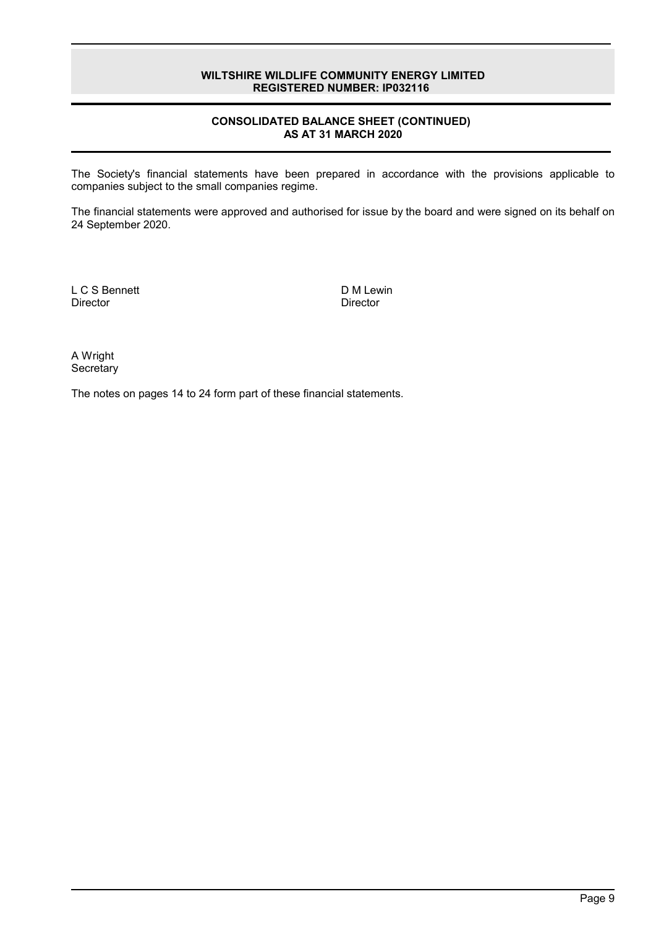### **CONSOLIDATED BALANCE SHEET (CONTINUED) AS AT 31 MARCH 2020**

The Society's financial statements have been prepared in accordance with the provisions applicable to companies subject to the small companies regime.

The financial statements were approved and authorised for issue by the board and were signed on its behalf on 24 September 2020.

L C S Bennett<br>
D M Lewin<br>
Director<br>
Director Director

A Wright **Secretary**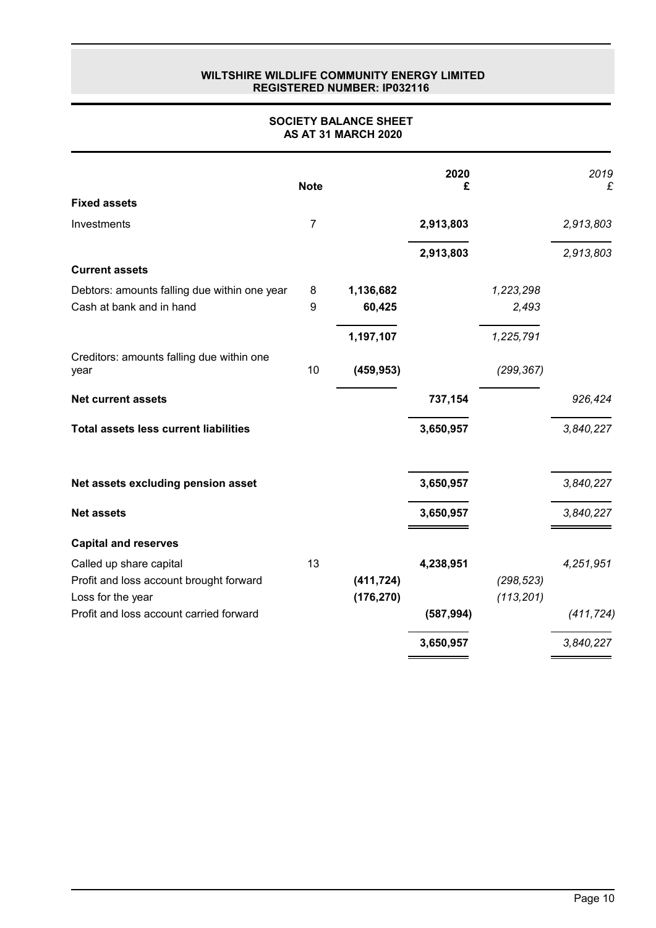|                                                              | <b>Note</b>    |            | 2020<br>£  |            | 2019<br>£  |
|--------------------------------------------------------------|----------------|------------|------------|------------|------------|
| <b>Fixed assets</b>                                          |                |            |            |            |            |
| Investments                                                  | $\overline{7}$ |            | 2,913,803  |            | 2,913,803  |
|                                                              |                |            | 2,913,803  |            | 2,913,803  |
| <b>Current assets</b>                                        |                |            |            |            |            |
| Debtors: amounts falling due within one year                 | 8              | 1,136,682  |            | 1,223,298  |            |
| Cash at bank and in hand                                     | 9              | 60,425     |            | 2,493      |            |
|                                                              |                | 1,197,107  |            | 1,225,791  |            |
| Creditors: amounts falling due within one<br>year            | 10             | (459, 953) |            | (299, 367) |            |
| <b>Net current assets</b>                                    |                |            | 737,154    |            | 926,424    |
| <b>Total assets less current liabilities</b>                 |                |            | 3,650,957  |            | 3,840,227  |
| Net assets excluding pension asset                           |                |            | 3,650,957  |            | 3,840,227  |
| <b>Net assets</b>                                            |                |            | 3,650,957  |            | 3,840,227  |
| <b>Capital and reserves</b>                                  |                |            |            |            |            |
| Called up share capital                                      | 13             |            | 4,238,951  |            | 4,251,951  |
| Profit and loss account brought forward                      |                | (411, 724) |            | (298, 523) |            |
| Loss for the year<br>Profit and loss account carried forward |                | (176, 270) | (587, 994) | (113, 201) | (411, 724) |
|                                                              |                |            |            |            |            |
|                                                              |                |            | 3,650,957  |            | 3,840,227  |

### **SOCIETY BALANCE SHEET AS AT 31 MARCH 2020**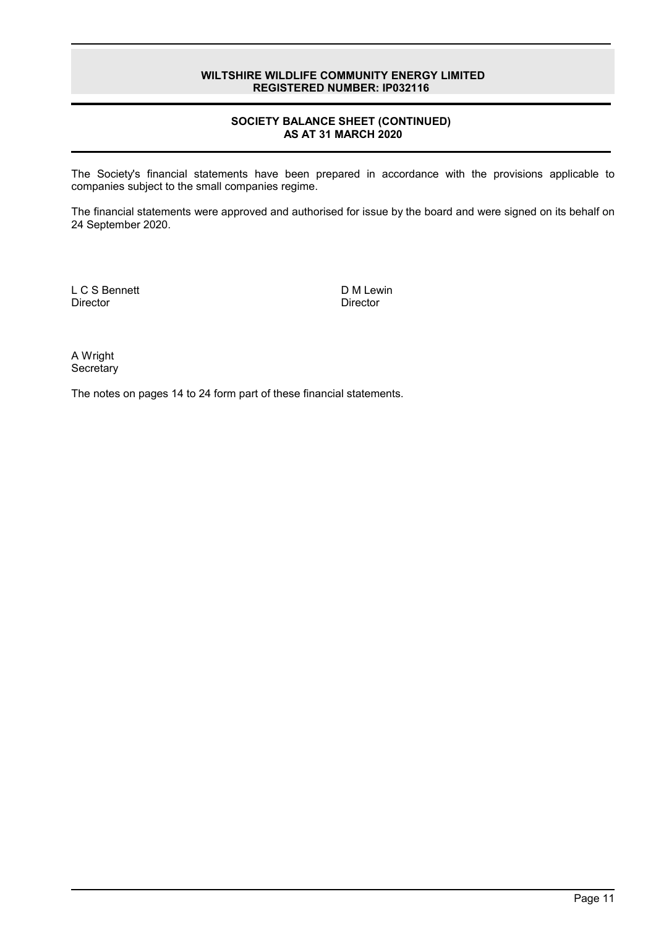### **SOCIETY BALANCE SHEET (CONTINUED) AS AT 31 MARCH 2020**

The Society's financial statements have been prepared in accordance with the provisions applicable to companies subject to the small companies regime.

The financial statements were approved and authorised for issue by the board and were signed on its behalf on 24 September 2020.

L C S Bennett<br>
D M Lewin<br>
Director<br>
Director Director

A Wright **Secretary**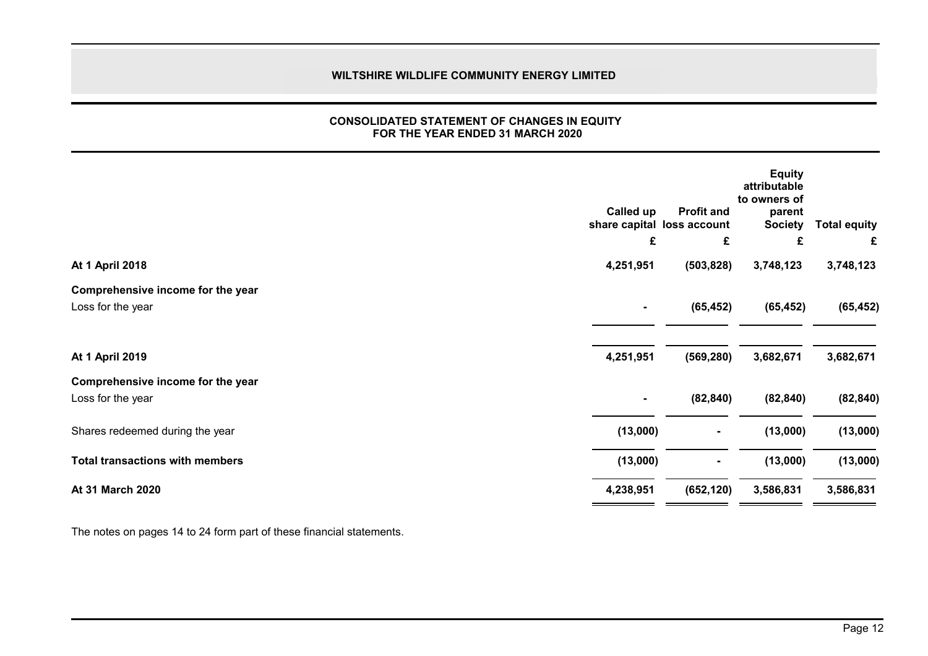### **CONSOLIDATED STATEMENT OF CHANGES IN EQUITY FOR THE YEAR ENDED 31 MARCH 2020**

|                                                        | Called up<br>£ | <b>Profit and</b><br>share capital loss account<br>£ | <b>Equity</b><br>attributable<br>to owners of<br>parent<br><b>Society</b><br>£ | <b>Total equity</b><br>£ |
|--------------------------------------------------------|----------------|------------------------------------------------------|--------------------------------------------------------------------------------|--------------------------|
| <b>At 1 April 2018</b>                                 | 4,251,951      | (503, 828)                                           | 3,748,123                                                                      | 3,748,123                |
| Comprehensive income for the year<br>Loss for the year |                | (65, 452)                                            | (65, 452)                                                                      | (65, 452)                |
| <b>At 1 April 2019</b>                                 | 4,251,951      | (569, 280)                                           | 3,682,671                                                                      | 3,682,671                |
| Comprehensive income for the year<br>Loss for the year |                | (82, 840)                                            | (82, 840)                                                                      | (82, 840)                |
| Shares redeemed during the year                        | (13,000)       | ۰.                                                   | (13,000)                                                                       | (13,000)                 |
| <b>Total transactions with members</b>                 | (13,000)       |                                                      | (13,000)                                                                       | (13,000)                 |
| At 31 March 2020                                       | 4,238,951      | (652, 120)                                           | 3,586,831                                                                      | 3,586,831                |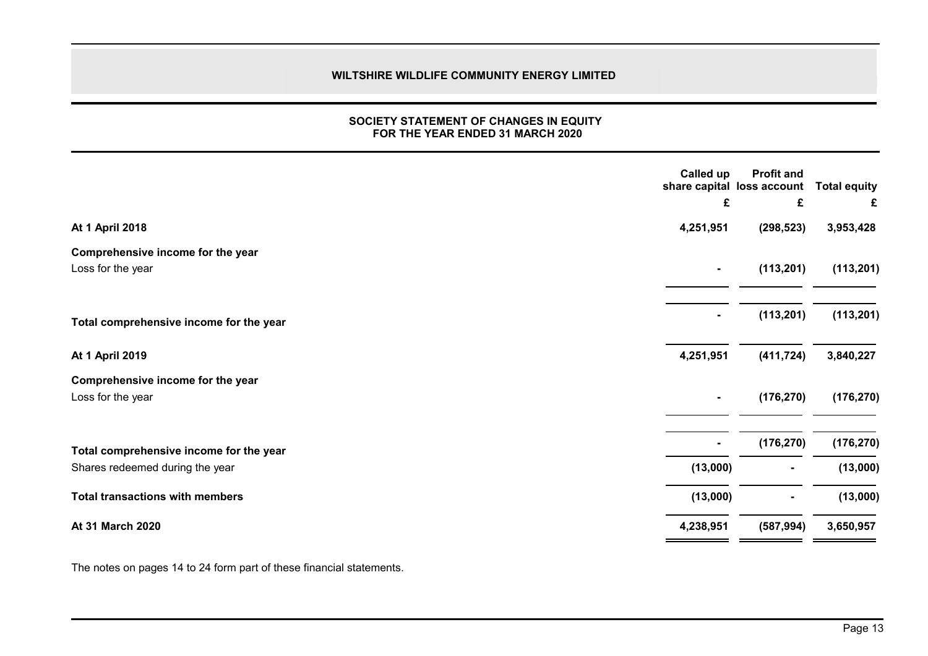### **SOCIETY STATEMENT OF CHANGES IN EQUITY FOR THE YEAR ENDED 31 MARCH 2020**

|                                                                            | Called up<br>£ | <b>Profit and</b><br>share capital loss account<br>£ | <b>Total equity</b><br>£ |
|----------------------------------------------------------------------------|----------------|------------------------------------------------------|--------------------------|
| <b>At 1 April 2018</b>                                                     | 4,251,951      | (298, 523)                                           | 3,953,428                |
| Comprehensive income for the year                                          |                |                                                      |                          |
| Loss for the year                                                          |                | (113, 201)                                           | (113, 201)               |
| Total comprehensive income for the year                                    |                | (113, 201)                                           | (113, 201)               |
| <b>At 1 April 2019</b>                                                     | 4,251,951      | (411, 724)                                           | 3,840,227                |
| Comprehensive income for the year                                          |                |                                                      |                          |
| Loss for the year                                                          |                | (176, 270)                                           | (176, 270)               |
|                                                                            |                | (176, 270)                                           | (176, 270)               |
| Total comprehensive income for the year<br>Shares redeemed during the year | (13,000)       |                                                      | (13,000)                 |
| <b>Total transactions with members</b>                                     | (13,000)       |                                                      | (13,000)                 |
| At 31 March 2020                                                           | 4,238,951      | (587, 994)                                           | 3,650,957                |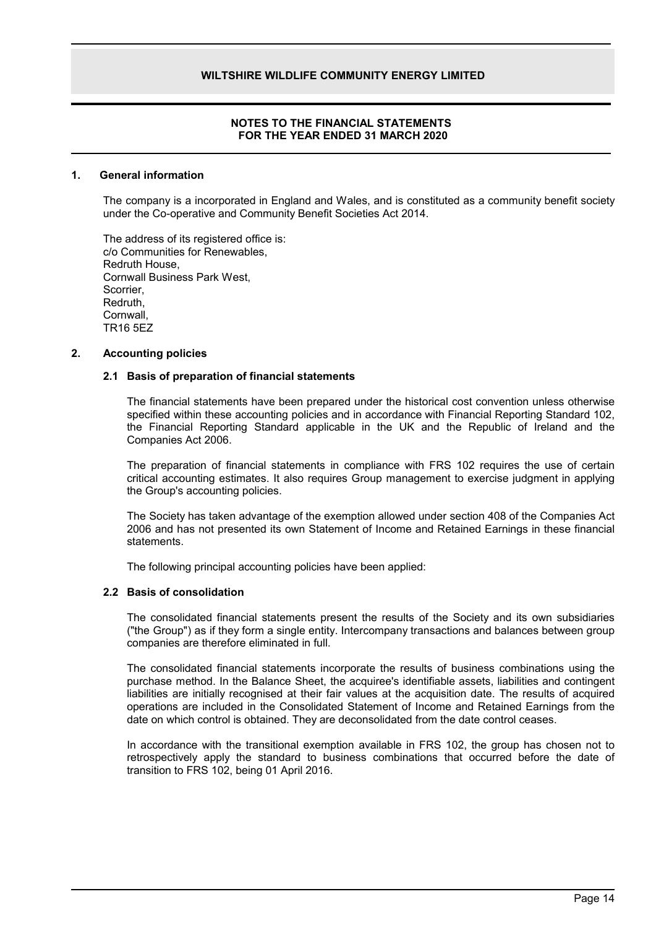### **NOTES TO THE FINANCIAL STATEMENTS FOR THE YEAR ENDED 31 MARCH 2020**

#### **1. General information**

The company is a incorporated in England and Wales, and is constituted as a community benefit society under the Co-operative and Community Benefit Societies Act 2014.

The address of its registered office is: c/o Communities for Renewables, Redruth House, Cornwall Business Park West, Scorrier, Redruth, Cornwall, TR16 5EZ

#### **2. Accounting policies**

#### **2.1 Basis of preparation of financial statements**

The financial statements have been prepared under the historical cost convention unless otherwise specified within these accounting policies and in accordance with Financial Reporting Standard 102, the Financial Reporting Standard applicable in the UK and the Republic of Ireland and the Companies Act 2006.

The preparation of financial statements in compliance with FRS 102 requires the use of certain critical accounting estimates. It also requires Group management to exercise judgment in applying the Group's accounting policies.

The Society has taken advantage of the exemption allowed under section 408 of the Companies Act 2006 and has not presented its own Statement of Income and Retained Earnings in these financial statements.

The following principal accounting policies have been applied:

#### **2.2 Basis of consolidation**

The consolidated financial statements present the results of the Society and its own subsidiaries ("the Group") as if they form a single entity. Intercompany transactions and balances between group companies are therefore eliminated in full.

The consolidated financial statements incorporate the results of business combinations using the purchase method. In the Balance Sheet, the acquiree's identifiable assets, liabilities and contingent liabilities are initially recognised at their fair values at the acquisition date. The results of acquired operations are included in the Consolidated Statement of Income and Retained Earnings from the date on which control is obtained. They are deconsolidated from the date control ceases.

In accordance with the transitional exemption available in FRS 102, the group has chosen not to retrospectively apply the standard to business combinations that occurred before the date of transition to FRS 102, being 01 April 2016.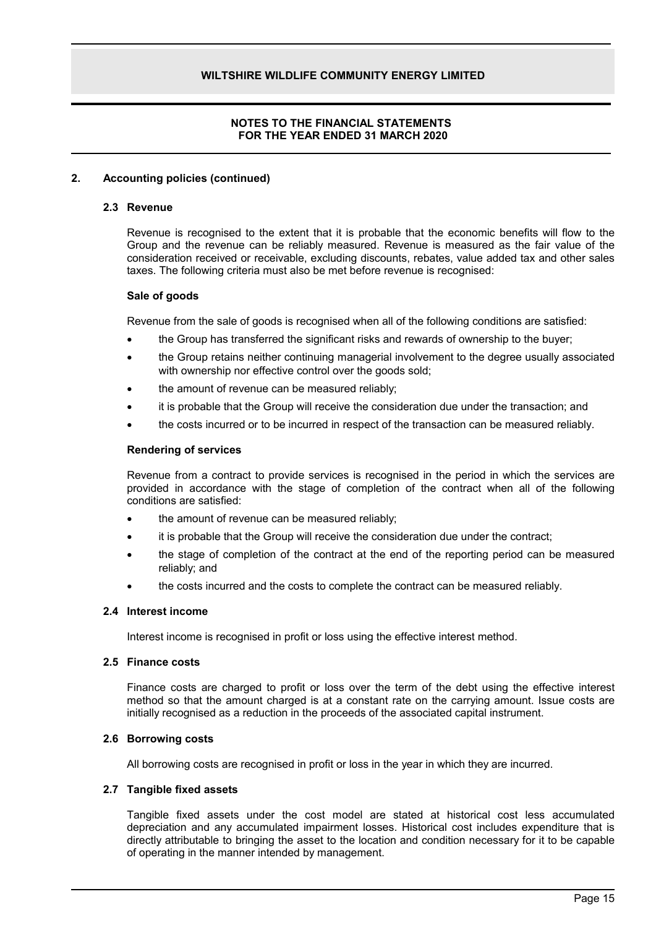### **NOTES TO THE FINANCIAL STATEMENTS FOR THE YEAR ENDED 31 MARCH 2020**

#### **2. Accounting policies (continued)**

#### **2.3 Revenue**

Revenue is recognised to the extent that it is probable that the economic benefits will flow to the Group and the revenue can be reliably measured. Revenue is measured as the fair value of the consideration received or receivable, excluding discounts, rebates, value added tax and other sales taxes. The following criteria must also be met before revenue is recognised:

#### **Sale of goods**

Revenue from the sale of goods is recognised when all of the following conditions are satisfied:

- the Group has transferred the significant risks and rewards of ownership to the buyer;
- the Group retains neither continuing managerial involvement to the degree usually associated with ownership nor effective control over the goods sold;
- the amount of revenue can be measured reliably;
- it is probable that the Group will receive the consideration due under the transaction; and
- the costs incurred or to be incurred in respect of the transaction can be measured reliably.

#### **Rendering of services**

Revenue from a contract to provide services is recognised in the period in which the services are provided in accordance with the stage of completion of the contract when all of the following conditions are satisfied:

- the amount of revenue can be measured reliably;
- it is probable that the Group will receive the consideration due under the contract;
- the stage of completion of the contract at the end of the reporting period can be measured reliably; and
- the costs incurred and the costs to complete the contract can be measured reliably.

### **2.4 Interest income**

Interest income is recognised in profit or loss using the effective interest method.

#### **2.5 Finance costs**

Finance costs are charged to profit or loss over the term of the debt using the effective interest method so that the amount charged is at a constant rate on the carrying amount. Issue costs are initially recognised as a reduction in the proceeds of the associated capital instrument.

### **2.6 Borrowing costs**

All borrowing costs are recognised in profit or loss in the year in which they are incurred.

#### **2.7 Tangible fixed assets**

Tangible fixed assets under the cost model are stated at historical cost less accumulated depreciation and any accumulated impairment losses. Historical cost includes expenditure that is directly attributable to bringing the asset to the location and condition necessary for it to be capable of operating in the manner intended by management.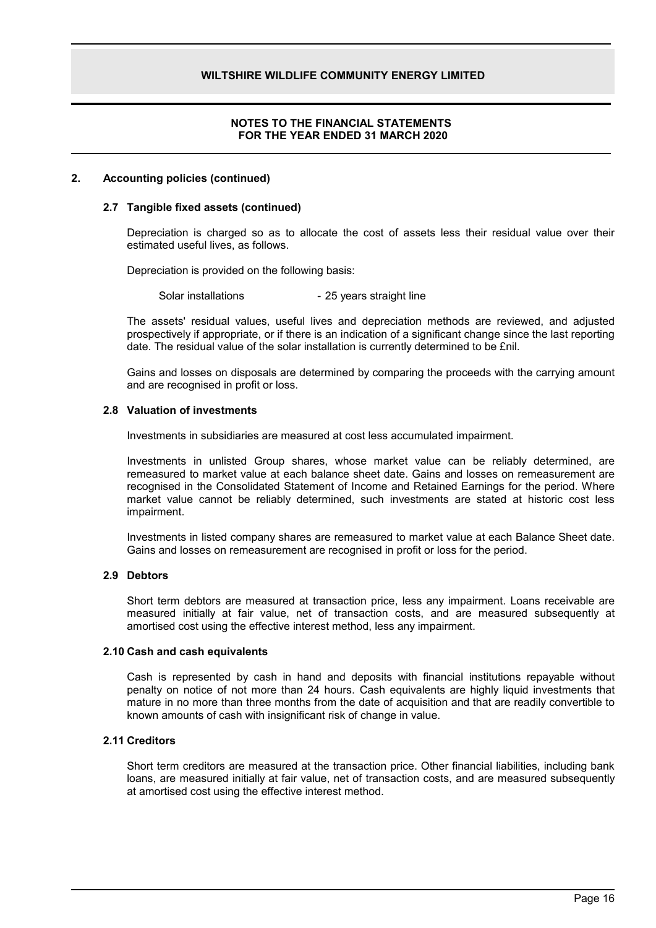### **NOTES TO THE FINANCIAL STATEMENTS FOR THE YEAR ENDED 31 MARCH 2020**

#### **2. Accounting policies (continued)**

#### **2.7 Tangible fixed assets (continued)**

Depreciation is charged so as to allocate the cost of assets less their residual value over their estimated useful lives, as follows.

Depreciation is provided on the following basis:

Solar installations - 25 years straight line

The assets' residual values, useful lives and depreciation methods are reviewed, and adjusted prospectively if appropriate, or if there is an indication of a significant change since the last reporting date. The residual value of the solar installation is currently determined to be £nil.

Gains and losses on disposals are determined by comparing the proceeds with the carrying amount and are recognised in profit or loss.

#### **2.8 Valuation of investments**

Investments in subsidiaries are measured at cost less accumulated impairment.

Investments in unlisted Group shares, whose market value can be reliably determined, are remeasured to market value at each balance sheet date. Gains and losses on remeasurement are recognised in the Consolidated Statement of Income and Retained Earnings for the period. Where market value cannot be reliably determined, such investments are stated at historic cost less impairment.

Investments in listed company shares are remeasured to market value at each Balance Sheet date. Gains and losses on remeasurement are recognised in profit or loss for the period.

#### **2.9 Debtors**

Short term debtors are measured at transaction price, less any impairment. Loans receivable are measured initially at fair value, net of transaction costs, and are measured subsequently at amortised cost using the effective interest method, less any impairment.

#### **2.10 Cash and cash equivalents**

Cash is represented by cash in hand and deposits with financial institutions repayable without penalty on notice of not more than 24 hours. Cash equivalents are highly liquid investments that mature in no more than three months from the date of acquisition and that are readily convertible to known amounts of cash with insignificant risk of change in value.

### **2.11 Creditors**

Short term creditors are measured at the transaction price. Other financial liabilities, including bank loans, are measured initially at fair value, net of transaction costs, and are measured subsequently at amortised cost using the effective interest method.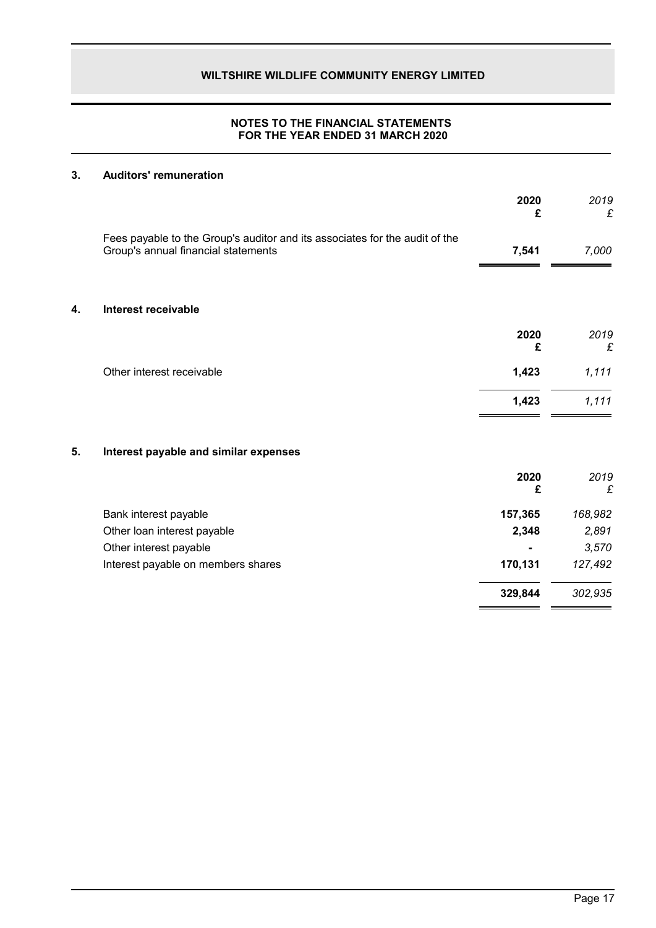### **NOTES TO THE FINANCIAL STATEMENTS FOR THE YEAR ENDED 31 MARCH 2020**

### **3. Auditors' remuneration**

|    |                                                                                                                    | 2020<br>£ | 2019<br>£ |
|----|--------------------------------------------------------------------------------------------------------------------|-----------|-----------|
|    | Fees payable to the Group's auditor and its associates for the audit of the<br>Group's annual financial statements | 7,541     | 7,000     |
| 4. | <b>Interest receivable</b>                                                                                         |           |           |
|    |                                                                                                                    |           |           |
|    |                                                                                                                    | 2020<br>£ | 2019<br>£ |
|    | Other interest receivable                                                                                          | 1,423     | 1,111     |
|    |                                                                                                                    | 1,423     | 1,111     |
| 5. | Interest payable and similar expenses                                                                              |           |           |
|    |                                                                                                                    | 2020<br>£ | 2019<br>£ |
|    | Bank interest payable                                                                                              | 157,365   | 168,982   |
|    | Other loan interest payable                                                                                        | 2,348     | 2,891     |
|    | Other interest payable                                                                                             |           | 3,570     |
|    | Interest payable on members shares                                                                                 | 170,131   | 127,492   |
|    |                                                                                                                    | 329,844   | 302,935   |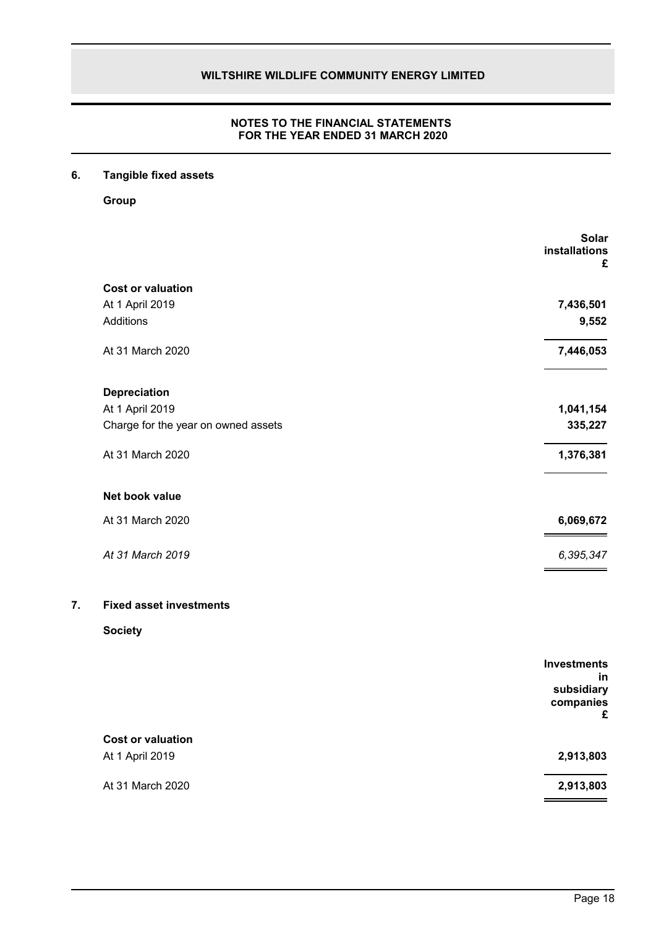### **NOTES TO THE FINANCIAL STATEMENTS FOR THE YEAR ENDED 31 MARCH 2020**

# **6. Tangible fixed assets**

**Group**

|    |                                     | Solar<br>installations<br>£ |
|----|-------------------------------------|-----------------------------|
|    | <b>Cost or valuation</b>            |                             |
|    | At 1 April 2019                     | 7,436,501                   |
|    | Additions                           | 9,552                       |
|    | At 31 March 2020                    | 7,446,053                   |
|    | <b>Depreciation</b>                 |                             |
|    | At 1 April 2019                     | 1,041,154                   |
|    | Charge for the year on owned assets | 335,227                     |
|    | At 31 March 2020                    | 1,376,381                   |
|    | Net book value                      |                             |
|    | At 31 March 2020                    | 6,069,672                   |
|    | At 31 March 2019                    | 6,395,347                   |
| 7. | <b>Fixed asset investments</b>      |                             |
|    | <b>Society</b>                      |                             |
|    |                                     | Investments                 |
|    |                                     | in                          |
|    |                                     | subsidiary<br>companies     |
|    |                                     | £                           |
|    | <b>Cost or valuation</b>            |                             |
|    | At 1 April 2019                     | 2,913,803                   |
|    | At 31 March 2020                    | 2,913,803                   |
|    |                                     |                             |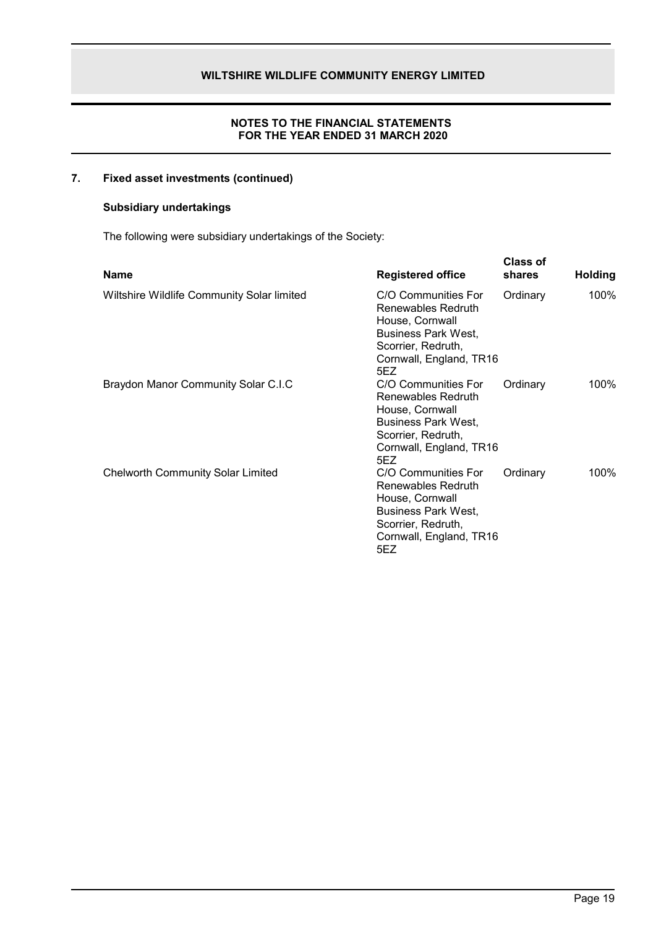### **NOTES TO THE FINANCIAL STATEMENTS FOR THE YEAR ENDED 31 MARCH 2020**

# **7. Fixed asset investments (continued)**

# **Subsidiary undertakings**

The following were subsidiary undertakings of the Society:

| <b>Name</b>                                | <b>Registered office</b>                                                                                                                           | <b>Class of</b><br>shares | <b>Holding</b> |
|--------------------------------------------|----------------------------------------------------------------------------------------------------------------------------------------------------|---------------------------|----------------|
| Wiltshire Wildlife Community Solar limited | C/O Communities For<br>Renewables Redruth<br>House, Cornwall<br>Business Park West,<br>Scorrier, Redruth,<br>Cornwall, England, TR16<br>5EZ        | Ordinary                  | 100%           |
| Braydon Manor Community Solar C.I.C        | C/O Communities For<br>Renewables Redruth<br>House, Cornwall<br><b>Business Park West,</b><br>Scorrier, Redruth,<br>Cornwall, England, TR16<br>5EZ | Ordinary                  | 100%           |
| <b>Chelworth Community Solar Limited</b>   | C/O Communities For<br>Renewables Redruth<br>House, Cornwall<br><b>Business Park West,</b><br>Scorrier, Redruth,<br>Cornwall, England, TR16<br>5EZ | Ordinary                  | 100%           |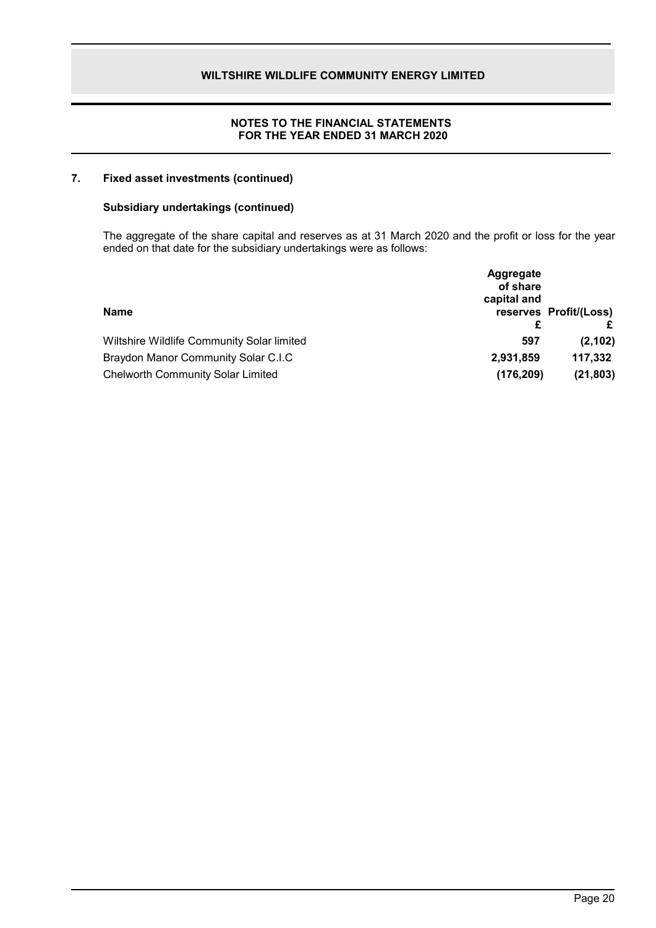### **NOTES TO THE FINANCIAL STATEMENTS FOR THE YEAR ENDED 31 MARCH 2020**

# **7. Fixed asset investments (continued)**

### **Subsidiary undertakings (continued)**

The aggregate of the share capital and reserves as at 31 March 2020 and the profit or loss for the year ended on that date for the subsidiary undertakings were as follows:

|                                            | Aggregate<br>of share<br>capital and |                        |
|--------------------------------------------|--------------------------------------|------------------------|
| <b>Name</b>                                |                                      | reserves Profit/(Loss) |
|                                            |                                      |                        |
| Wiltshire Wildlife Community Solar limited | 597                                  | (2, 102)               |
| Braydon Manor Community Solar C.I.C        | 2,931,859                            | 117,332                |
| <b>Chelworth Community Solar Limited</b>   | (176, 209)                           | (21, 803)              |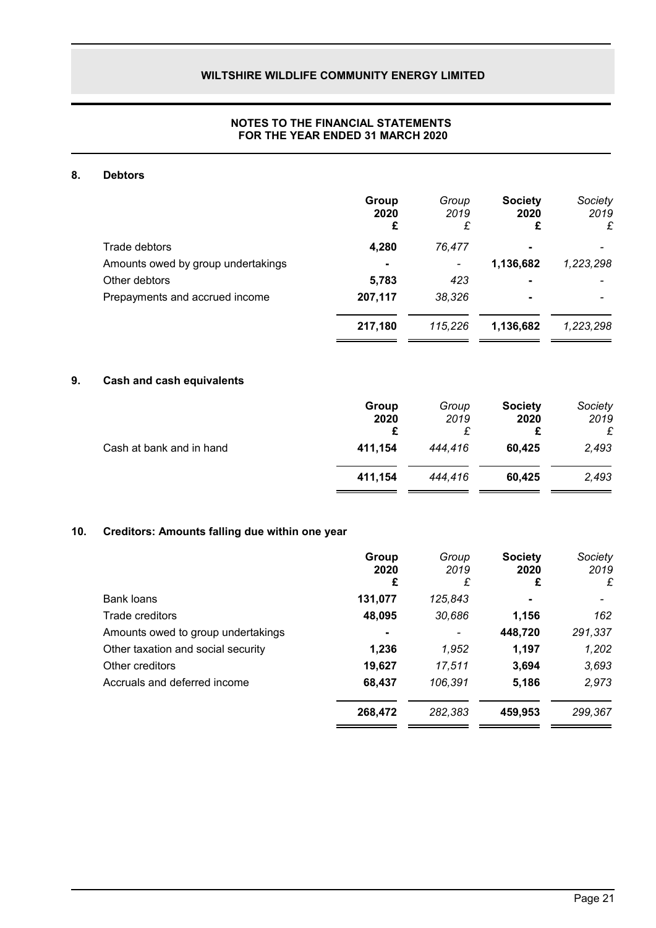### **NOTES TO THE FINANCIAL STATEMENTS FOR THE YEAR ENDED 31 MARCH 2020**

### **8. Debtors**

|                                    | Group<br>2020<br>£ | Group<br>2019            | <b>Society</b><br>2020 | Society<br>2019<br>£ |
|------------------------------------|--------------------|--------------------------|------------------------|----------------------|
| Trade debtors                      | 4,280              | 76,477                   | $\blacksquare$         |                      |
| Amounts owed by group undertakings | $\blacksquare$     | $\overline{\phantom{a}}$ | 1,136,682              | 1,223,298            |
| Other debtors                      | 5,783              | 423                      | $\blacksquare$         |                      |
| Prepayments and accrued income     | 207,117            | 38,326                   | $\blacksquare$         |                      |
|                                    | 217,180            | 115.226                  | 1,136,682              | 1,223,298            |

### **9. Cash and cash equivalents**

|                          | Group<br>2020 | Group<br>2019 | <b>Society</b><br>2020 | Society<br>2019<br>£ |
|--------------------------|---------------|---------------|------------------------|----------------------|
| Cash at bank and in hand | 411,154       | 444.416       | 60.425                 | 2,493                |
|                          | 411,154       | 444.416       | 60.425                 | 2,493                |

# **10. Creditors: Amounts falling due within one year**

|                                    | Group<br>2020  | Group<br>2019 | <b>Society</b><br>2020 | Society<br>2019 |
|------------------------------------|----------------|---------------|------------------------|-----------------|
|                                    | £              | £             | £                      | £               |
| Bank loans                         | 131,077        | 125,843       | $\blacksquare$         |                 |
| Trade creditors                    | 48,095         | 30,686        | 1,156                  | 162             |
| Amounts owed to group undertakings | $\blacksquare$ |               | 448,720                | 291,337         |
| Other taxation and social security | 1,236          | 1,952         | 1,197                  | 1,202           |
| Other creditors                    | 19,627         | 17,511        | 3,694                  | 3,693           |
| Accruals and deferred income       | 68,437         | 106,391       | 5,186                  | 2,973           |
|                                    | 268,472        | 282,383       | 459,953                | 299,367         |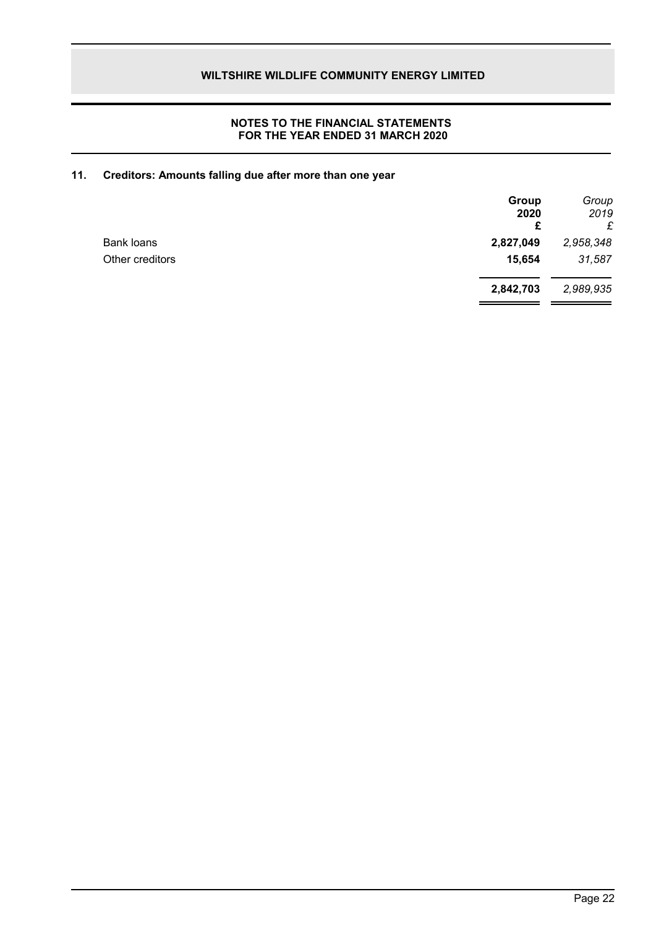### **NOTES TO THE FINANCIAL STATEMENTS FOR THE YEAR ENDED 31 MARCH 2020**

# **11. Creditors: Amounts falling due after more than one year**

|                 | Group     | Group     |
|-----------------|-----------|-----------|
|                 | 2020      | 2019      |
|                 | £         | £         |
| Bank loans      | 2,827,049 | 2,958,348 |
| Other creditors | 15,654    | 31,587    |
|                 | 2,842,703 | 2,989,935 |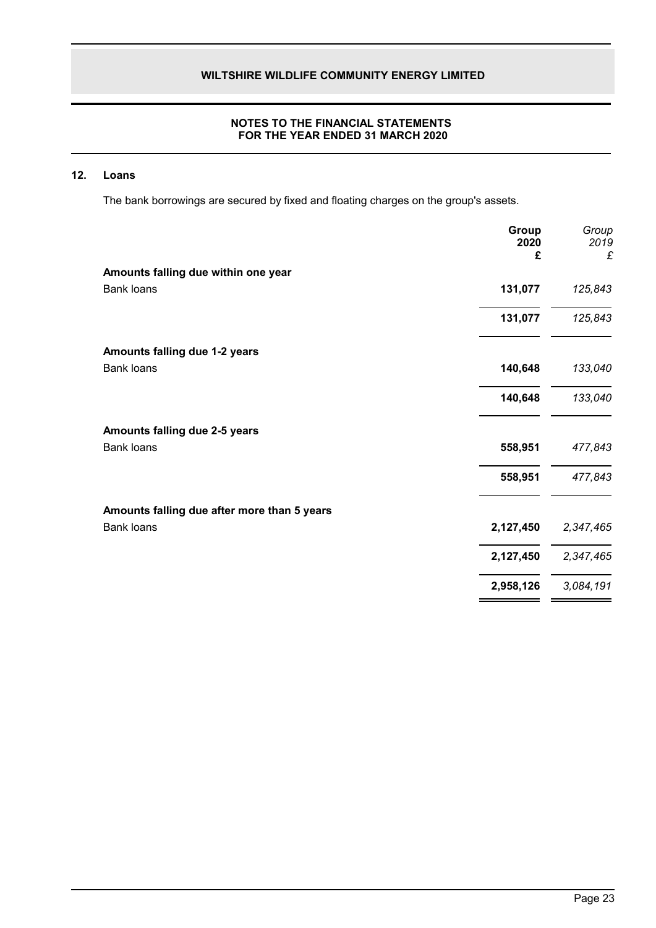### **NOTES TO THE FINANCIAL STATEMENTS FOR THE YEAR ENDED 31 MARCH 2020**

### **12. Loans**

The bank borrowings are secured by fixed and floating charges on the group's assets.

|                                             | Group<br>2020<br>£ | Group<br>2019<br>£ |
|---------------------------------------------|--------------------|--------------------|
| Amounts falling due within one year         |                    |                    |
| <b>Bank loans</b>                           | 131,077            | 125,843            |
|                                             | 131,077            | 125,843            |
| Amounts falling due 1-2 years               |                    |                    |
| <b>Bank loans</b>                           | 140,648            | 133,040            |
|                                             | 140,648            | 133,040            |
| Amounts falling due 2-5 years               |                    |                    |
| <b>Bank loans</b>                           | 558,951            | 477,843            |
|                                             | 558,951            | 477,843            |
| Amounts falling due after more than 5 years |                    |                    |
| <b>Bank loans</b>                           | 2,127,450          | 2,347,465          |
|                                             | 2,127,450          | 2,347,465          |
|                                             | 2,958,126          | 3,084,191          |
|                                             |                    |                    |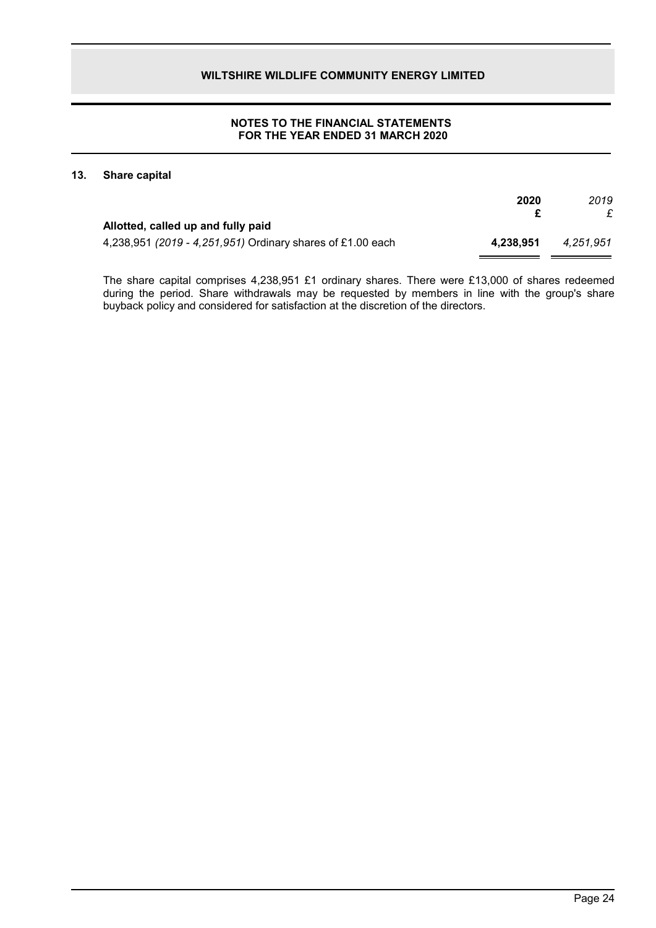### **NOTES TO THE FINANCIAL STATEMENTS FOR THE YEAR ENDED 31 MARCH 2020**

### **13. Share capital**

|                                                            | 2020      | 2019      |
|------------------------------------------------------------|-----------|-----------|
|                                                            |           |           |
| Allotted, called up and fully paid                         |           |           |
| 4,238,951 (2019 - 4,251,951) Ordinary shares of £1.00 each | 4.238.951 | 4.251.951 |

The share capital comprises 4,238,951 £1 ordinary shares. There were £13,000 of shares redeemed during the period. Share withdrawals may be requested by members in line with the group's share buyback policy and considered for satisfaction at the discretion of the directors.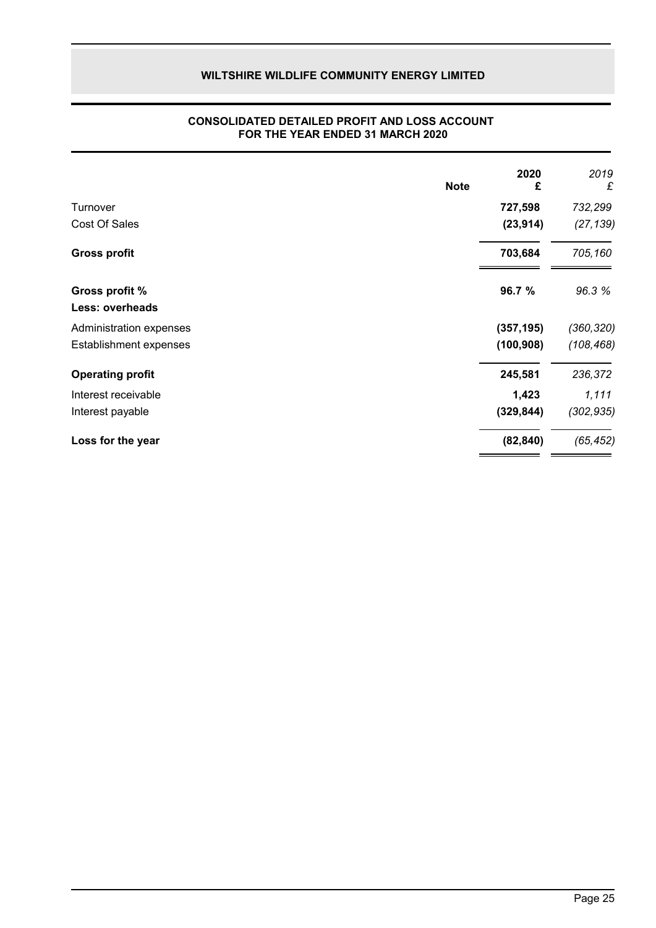|                         | <b>Note</b> | 2020<br>£  | 2019<br>£  |
|-------------------------|-------------|------------|------------|
| Turnover                |             | 727,598    | 732,299    |
| Cost Of Sales           |             | (23, 914)  | (27, 139)  |
| <b>Gross profit</b>     |             | 703,684    | 705,160    |
| Gross profit %          |             | 96.7 %     | 96.3%      |
| <b>Less: overheads</b>  |             |            |            |
| Administration expenses |             | (357, 195) | (360, 320) |
| Establishment expenses  |             | (100, 908) | (108, 468) |
| <b>Operating profit</b> |             | 245,581    | 236,372    |
| Interest receivable     |             | 1,423      | 1,111      |
| Interest payable        |             | (329, 844) | (302, 935) |
| Loss for the year       |             | (82, 840)  | (65, 452)  |

#### **CONSOLIDATED DETAILED PROFIT AND LOSS ACCOUNT FOR THE YEAR ENDED 31 MARCH 2020**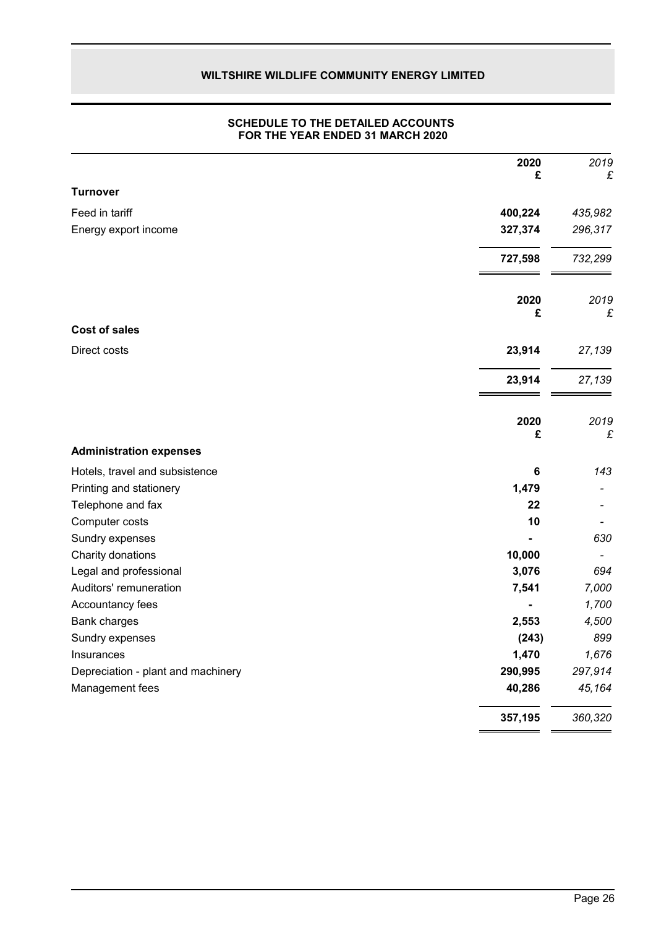#### **SCHEDULE TO THE DETAILED ACCOUNTS FOR THE YEAR ENDED 31 MARCH 2020**

|                                    | 2020<br>£ | 2019<br>£ |
|------------------------------------|-----------|-----------|
| <b>Turnover</b>                    |           |           |
| Feed in tariff                     | 400,224   | 435,982   |
| Energy export income               | 327,374   | 296,317   |
|                                    |           |           |
|                                    | 727,598   | 732,299   |
|                                    | 2020<br>£ | 2019<br>£ |
| <b>Cost of sales</b>               |           |           |
| Direct costs                       | 23,914    | 27,139    |
|                                    | 23,914    | 27,139    |
|                                    | 2020<br>£ | 2019<br>£ |
| <b>Administration expenses</b>     |           |           |
| Hotels, travel and subsistence     | 6         | 143       |
| Printing and stationery            | 1,479     |           |
| Telephone and fax                  | 22        |           |
| Computer costs                     | 10        |           |
| Sundry expenses                    |           | 630       |
| Charity donations                  | 10,000    |           |
| Legal and professional             | 3,076     | 694       |
| Auditors' remuneration             | 7,541     | 7,000     |
| Accountancy fees                   |           | 1,700     |
| <b>Bank charges</b>                | 2,553     | 4,500     |
| Sundry expenses                    | (243)     | 899       |
| Insurances                         | 1,470     | 1,676     |
| Depreciation - plant and machinery | 290,995   | 297,914   |
| Management fees                    | 40,286    | 45,164    |
|                                    | 357,195   | 360,320   |